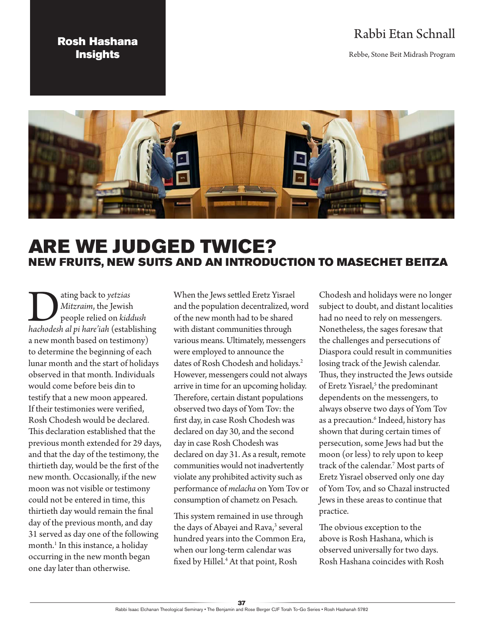### Rosh Hashana **Insights**

## Rabbi Etan Schnall

Rebbe, Stone Beit Midrash Program



# ARE WE JUDGED TWICE? NEW FRUITS, NEW SUITS AND AN INTRODUCTION TO MASECHET BEITZA

Dating back to *yetzias hachodesh al pi hare'iah* (establishing *Mitzraim*, the Jewish people relied on *kiddush*  a new month based on testimony) to determine the beginning of each lunar month and the start of holidays observed in that month. Individuals would come before beis din to testify that a new moon appeared. If their testimonies were verified, Rosh Chodesh would be declared. This declaration established that the previous month extended for 29 days, and that the day of the testimony, the thirtieth day, would be the first of the new month. Occasionally, if the new moon was not visible or testimony could not be entered in time, this thirtieth day would remain the final day of the previous month, and day 31 served as day one of the following month.<sup>1</sup> In this instance, a holiday occurring in the new month began one day later than otherwise.

When the Jews settled Eretz Yisrael and the population decentralized, word of the new month had to be shared with distant communities through various means. Ultimately, messengers were employed to announce the dates of Rosh Chodesh and holidays.<sup>2</sup> However, messengers could not always arrive in time for an upcoming holiday. Therefore, certain distant populations observed two days of Yom Tov: the first day, in case Rosh Chodesh was declared on day 30, and the second day in case Rosh Chodesh was declared on day 31. As a result, remote communities would not inadvertently violate any prohibited activity such as performance of *melacha* on Yom Tov or consumption of chametz on Pesach.

This system remained in use through the days of Abayei and Rava,<sup>3</sup> several hundred years into the Common Era, when our long-term calendar was fixed by Hillel.4 At that point, Rosh

Chodesh and holidays were no longer subject to doubt, and distant localities had no need to rely on messengers. Nonetheless, the sages foresaw that the challenges and persecutions of Diaspora could result in communities losing track of the Jewish calendar. Thus, they instructed the Jews outside of Eretz Yisrael,<sup>5</sup> the predominant dependents on the messengers, to always observe two days of Yom Tov as a precaution.<sup>6</sup> Indeed, history has shown that during certain times of persecution, some Jews had but the moon (or less) to rely upon to keep track of the calendar.7 Most parts of Eretz Yisrael observed only one day of Yom Tov, and so Chazal instructed Jews in these areas to continue that practice.

The obvious exception to the above is Rosh Hashana, which is observed universally for two days. Rosh Hashana coincides with Rosh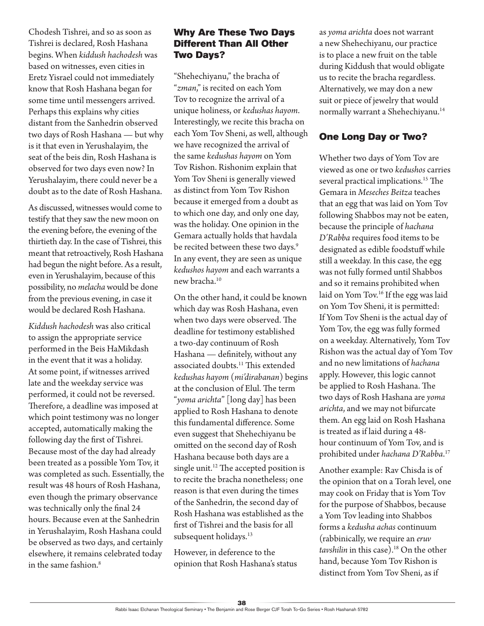Chodesh Tishrei, and so as soon as Tishrei is declared, Rosh Hashana begins. When *kiddush hachodesh* was based on witnesses, even cities in Eretz Yisrael could not immediately know that Rosh Hashana began for some time until messengers arrived. Perhaps this explains why cities distant from the Sanhedrin observed two days of Rosh Hashana — but why is it that even in Yerushalayim, the seat of the beis din, Rosh Hashana is observed for two days even now? In Yerushalayim, there could never be a doubt as to the date of Rosh Hashana.

As discussed, witnesses would come to testify that they saw the new moon on the evening before, the evening of the thirtieth day. In the case of Tishrei, this meant that retroactively, Rosh Hashana had begun the night before. As a result, even in Yerushalayim, because of this possibility, no *melacha* would be done from the previous evening, in case it would be declared Rosh Hashana.

*Kiddush hachodesh* was also critical to assign the appropriate service performed in the Beis HaMikdash in the event that it was a holiday. At some point, if witnesses arrived late and the weekday service was performed, it could not be reversed. Therefore, a deadline was imposed at which point testimony was no longer accepted, automatically making the following day the first of Tishrei. Because most of the day had already been treated as a possible Yom Tov, it was completed as such. Essentially, the result was 48 hours of Rosh Hashana, even though the primary observance was technically only the final 24 hours. Because even at the Sanhedrin in Yerushalayim, Rosh Hashana could be observed as two days, and certainly elsewhere, it remains celebrated today in the same fashion.8

#### Why Are These Two Days Different Than All Other Two Days?

"Shehechiyanu," the bracha of "*zman*," is recited on each Yom Tov to recognize the arrival of a unique holiness, or *kedushas hayom*. Interestingly, we recite this bracha on each Yom Tov Sheni, as well, although we have recognized the arrival of the same *kedushas hayom* on Yom Tov Rishon. Rishonim explain that Yom Tov Sheni is generally viewed as distinct from Yom Tov Rishon because it emerged from a doubt as to which one day, and only one day, was the holiday. One opinion in the Gemara actually holds that havdala be recited between these two days.<sup>9</sup> In any event, they are seen as unique *kedushos hayom* and each warrants a new bracha.<sup>10</sup>

On the other hand, it could be known which day was Rosh Hashana, even when two days were observed. The deadline for testimony established a two-day continuum of Rosh Hashana — definitely, without any associated doubts.<sup>11</sup> This extended *kedushas hayom* (*mi'dirabanan*) begins at the conclusion of Elul. The term "*yoma arichta*" [long day] has been applied to Rosh Hashana to denote this fundamental difference. Some even suggest that Shehechiyanu be omitted on the second day of Rosh Hashana because both days are a single unit.<sup>12</sup> The accepted position is to recite the bracha nonetheless; one reason is that even during the times of the Sanhedrin, the second day of Rosh Hashana was established as the first of Tishrei and the basis for all subsequent holidays.<sup>13</sup>

However, in deference to the opinion that Rosh Hashana's status as *yoma arichta* does not warrant a new Shehechiyanu, our practice is to place a new fruit on the table during Kiddush that would obligate us to recite the bracha regardless. Alternatively, we may don a new suit or piece of jewelry that would normally warrant a Shehechiyanu.<sup>14</sup>

#### One Long Day or Two?

Whether two days of Yom Tov are viewed as one or two *kedushos* carries several practical implications.<sup>15</sup> The Gemara in *Meseches Beitza* teaches that an egg that was laid on Yom Tov following Shabbos may not be eaten, because the principle of *hachana D'Rabba* requires food items to be designated as edible foodstuff while still a weekday. In this case, the egg was not fully formed until Shabbos and so it remains prohibited when laid on Yom Tov.<sup>16</sup> If the egg was laid on Yom Tov Sheni, it is permitted: If Yom Tov Sheni is the actual day of Yom Tov, the egg was fully formed on a weekday. Alternatively, Yom Tov Rishon was the actual day of Yom Tov and no new limitations of *hachana* apply. However, this logic cannot be applied to Rosh Hashana. The two days of Rosh Hashana are *yoma arichta*, and we may not bifurcate them. An egg laid on Rosh Hashana is treated as if laid during a 48 hour continuum of Yom Tov, and is prohibited under *hachana D'Rabba*. 17

Another example: Rav Chisda is of the opinion that on a Torah level, one may cook on Friday that is Yom Tov for the purpose of Shabbos, because a Yom Tov leading into Shabbos forms a *kedusha achas* continuum (rabbinically, we require an *eruv tavshilin* in this case).<sup>18</sup> On the other hand, because Yom Tov Rishon is distinct from Yom Tov Sheni, as if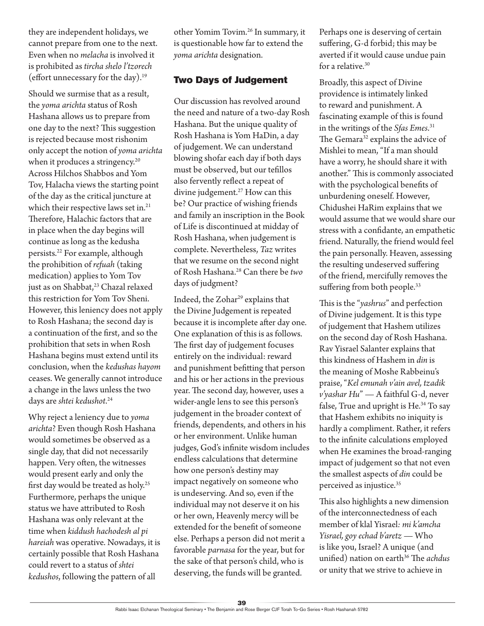they are independent holidays, we cannot prepare from one to the next. Even when no *melacha* is involved it is prohibited as *tircha shelo l'tzorech* (effort unnecessary for the day).19

Should we surmise that as a result, the *yoma arichta* status of Rosh Hashana allows us to prepare from one day to the next? This suggestion is rejected because most rishonim only accept the notion of *yoma arichta* when it produces a stringency.<sup>20</sup> Across Hilchos Shabbos and Yom Tov, Halacha views the starting point of the day as the critical juncture at which their respective laws set in.<sup>21</sup> Therefore, Halachic factors that are in place when the day begins will continue as long as the kedusha persists.22 For example, although the prohibition of *refuah* (taking medication) applies to Yom Tov just as on Shabbat,<sup>23</sup> Chazal relaxed this restriction for Yom Tov Sheni. However, this leniency does not apply to Rosh Hashana; the second day is a continuation of the first, and so the prohibition that sets in when Rosh Hashana begins must extend until its conclusion, when the *kedushas hayom* ceases. We generally cannot introduce a change in the laws unless the two days are *shtei kedushot*. 24

Why reject a leniency due to *yoma arichta*? Even though Rosh Hashana would sometimes be observed as a single day, that did not necessarily happen. Very often, the witnesses would present early and only the first day would be treated as holy.25 Furthermore, perhaps the unique status we have attributed to Rosh Hashana was only relevant at the time when *kiddush hachodesh al pi hareiah* was operative. Nowadays, it is certainly possible that Rosh Hashana could revert to a status of *shtei kedushos*, following the pattern of all

other Yomim Tovim.26 In summary, it is questionable how far to extend the *yoma arichta* designation.

#### Two Days of Judgement

Our discussion has revolved around the need and nature of a two-day Rosh Hashana. But the unique quality of Rosh Hashana is Yom HaDin, a day of judgement. We can understand blowing shofar each day if both days must be observed, but our tefillos also fervently reflect a repeat of divine judgement.<sup>27</sup> How can this be? Our practice of wishing friends and family an inscription in the Book of Life is discontinued at midday of Rosh Hashana, when judgement is complete. Nevertheless, *Taz* writes that we resume on the second night of Rosh Hashana.28 Can there be *two* days of judgment?

Indeed, the Zohar<sup>29</sup> explains that the Divine Judgement is repeated because it is incomplete after day one. One explanation of this is as follows. The first day of judgement focuses entirely on the individual: reward and punishment befitting that person and his or her actions in the previous year. The second day, however, uses a wider-angle lens to see this person's judgement in the broader context of friends, dependents, and others in his or her environment. Unlike human judges, God's infinite wisdom includes endless calculations that determine how one person's destiny may impact negatively on someone who is undeserving. And so, even if the individual may not deserve it on his or her own, Heavenly mercy will be extended for the benefit of someone else. Perhaps a person did not merit a favorable *parnasa* for the year, but for the sake of that person's child, who is deserving, the funds will be granted.

Perhaps one is deserving of certain suffering, G-d forbid; this may be averted if it would cause undue pain for a relative.<sup>30</sup>

Broadly, this aspect of Divine providence is intimately linked to reward and punishment. A fascinating example of this is found in the writings of the *Sfas Emes*. 31 The Gemara<sup>32</sup> explains the advice of Mishlei to mean, "If a man should have a worry, he should share it with another." This is commonly associated with the psychological benefits of unburdening oneself. However, Chidushei HaRim explains that we would assume that we would share our stress with a confidante, an empathetic friend. Naturally, the friend would feel the pain personally. Heaven, assessing the resulting undeserved suffering of the friend, mercifully removes the suffering from both people.<sup>33</sup>

This is the "*yashrus*" and perfection of Divine judgement. It is this type of judgement that Hashem utilizes on the second day of Rosh Hashana. Rav Yisrael Salanter explains that this kindness of Hashem in *din* is the meaning of Moshe Rabbeinu's praise, "*Kel emunah v'ain avel, tzadik v'yashar Hu*" — A faithful G-d, never false, True and upright is He.<sup>34</sup> To say that Hashem exhibits no iniquity is hardly a compliment. Rather, it refers to the infinite calculations employed when He examines the broad-ranging impact of judgement so that not even the smallest aspects of *din* could be perceived as injustice.35

This also highlights a new dimension of the interconnectedness of each member of klal Yisrael*: mi k'amcha Yisrael, goy echad b'aretz* — Who is like you, Israel? A unique (and unified) nation on earth<sup>36</sup> The *achdus* or unity that we strive to achieve in